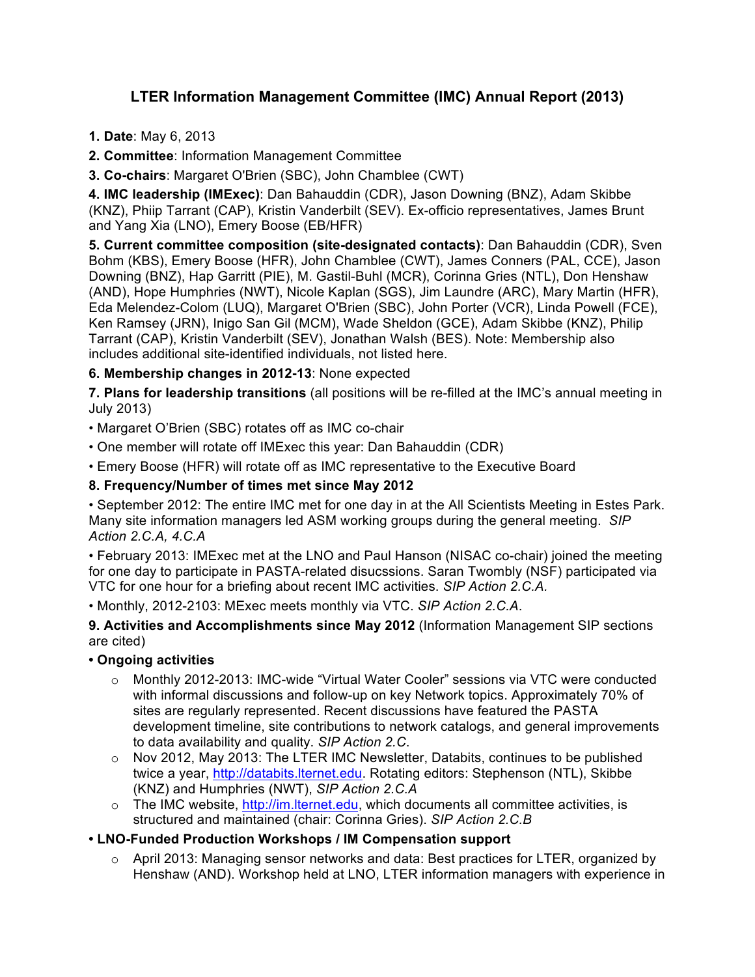# **LTER Information Management Committee (IMC) Annual Report (2013)**

**1. Date**: May 6, 2013

**2. Committee**: Information Management Committee

**3. Co-chairs**: Margaret O'Brien (SBC), John Chamblee (CWT)

**4. IMC leadership (IMExec)**: Dan Bahauddin (CDR), Jason Downing (BNZ), Adam Skibbe (KNZ), Phiip Tarrant (CAP), Kristin Vanderbilt (SEV). Ex-officio representatives, James Brunt and Yang Xia (LNO), Emery Boose (EB/HFR)

**5. Current committee composition (site-designated contacts)**: Dan Bahauddin (CDR), Sven Bohm (KBS), Emery Boose (HFR), John Chamblee (CWT), James Conners (PAL, CCE), Jason Downing (BNZ), Hap Garritt (PIE), M. Gastil-Buhl (MCR), Corinna Gries (NTL), Don Henshaw (AND), Hope Humphries (NWT), Nicole Kaplan (SGS), Jim Laundre (ARC), Mary Martin (HFR), Eda Melendez-Colom (LUQ), Margaret O'Brien (SBC), John Porter (VCR), Linda Powell (FCE), Ken Ramsey (JRN), Inigo San Gil (MCM), Wade Sheldon (GCE), Adam Skibbe (KNZ), Philip Tarrant (CAP), Kristin Vanderbilt (SEV), Jonathan Walsh (BES). Note: Membership also includes additional site-identified individuals, not listed here.

## **6. Membership changes in 2012-13**: None expected

**7. Plans for leadership transitions** (all positions will be re-filled at the IMC's annual meeting in July 2013)

- Margaret O'Brien (SBC) rotates off as IMC co-chair
- One member will rotate off IMExec this year: Dan Bahauddin (CDR)
- Emery Boose (HFR) will rotate off as IMC representative to the Executive Board

#### **8. Frequency/Number of times met since May 2012**

• September 2012: The entire IMC met for one day in at the All Scientists Meeting in Estes Park. Many site information managers led ASM working groups during the general meeting. *SIP Action 2.C.A, 4.C.A*

• February 2013: IMExec met at the LNO and Paul Hanson (NISAC co-chair) joined the meeting for one day to participate in PASTA-related disucssions. Saran Twombly (NSF) participated via VTC for one hour for a briefing about recent IMC activities. *SIP Action 2.C.A.*

• Monthly, 2012-2103: MExec meets monthly via VTC. *SIP Action 2.C.A*.

**9. Activities and Accomplishments since May 2012** (Information Management SIP sections are cited)

## **• Ongoing activities**

- o Monthly 2012-2013: IMC-wide "Virtual Water Cooler" sessions via VTC were conducted with informal discussions and follow-up on key Network topics. Approximately 70% of sites are regularly represented. Recent discussions have featured the PASTA development timeline, site contributions to network catalogs, and general improvements to data availability and quality. *SIP Action 2.C*.
- $\circ$  Nov 2012, May 2013: The LTER IMC Newsletter, Databits, continues to be published twice a year, http://databits.lternet.edu. Rotating editors: Stephenson (NTL), Skibbe (KNZ) and Humphries (NWT), *SIP Action 2.C.A*
- $\circ$  The IMC website, http://im.lternet.edu, which documents all committee activities, is structured and maintained (chair: Corinna Gries). *SIP Action 2.C.B*

## **• LNO-Funded Production Workshops / IM Compensation support**

 $\circ$  April 2013: Managing sensor networks and data: Best practices for LTER, organized by Henshaw (AND). Workshop held at LNO, LTER information managers with experience in